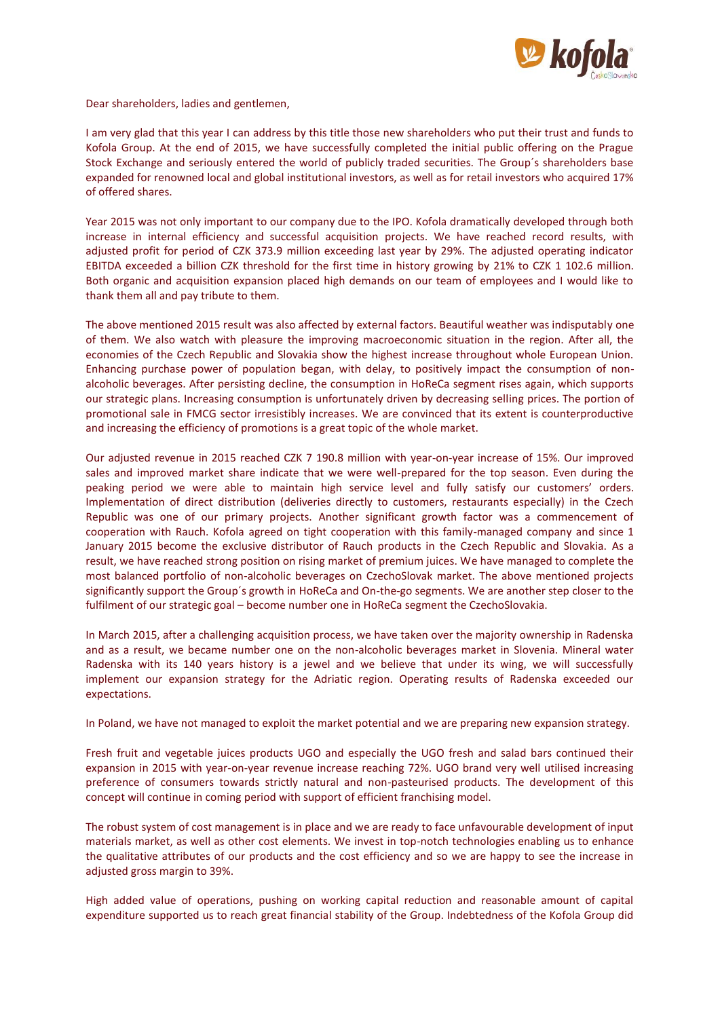

Dear shareholders, ladies and gentlemen,

I am very glad that this year I can address by this title those new shareholders who put their trust and funds to Kofola Group. At the end of 2015, we have successfully completed the initial public offering on the Prague Stock Exchange and seriously entered the world of publicly traded securities. The Group´s shareholders base expanded for renowned local and global institutional investors, as well as for retail investors who acquired 17% of offered shares.

Year 2015 was not only important to our company due to the IPO. Kofola dramatically developed through both increase in internal efficiency and successful acquisition projects. We have reached record results, with adjusted profit for period of CZK 373.9 million exceeding last year by 29%. The adjusted operating indicator EBITDA exceeded a billion CZK threshold for the first time in history growing by 21% to CZK 1 102.6 million. Both organic and acquisition expansion placed high demands on our team of employees and I would like to thank them all and pay tribute to them.

The above mentioned 2015 result was also affected by external factors. Beautiful weather was indisputably one of them. We also watch with pleasure the improving macroeconomic situation in the region. After all, the economies of the Czech Republic and Slovakia show the highest increase throughout whole European Union. Enhancing purchase power of population began, with delay, to positively impact the consumption of nonalcoholic beverages. After persisting decline, the consumption in HoReCa segment rises again, which supports our strategic plans. Increasing consumption is unfortunately driven by decreasing selling prices. The portion of promotional sale in FMCG sector irresistibly increases. We are convinced that its extent is counterproductive and increasing the efficiency of promotions is a great topic of the whole market.

Our adjusted revenue in 2015 reached CZK 7 190.8 million with year-on-year increase of 15%. Our improved sales and improved market share indicate that we were well-prepared for the top season. Even during the peaking period we were able to maintain high service level and fully satisfy our customers' orders. Implementation of direct distribution (deliveries directly to customers, restaurants especially) in the Czech Republic was one of our primary projects. Another significant growth factor was a commencement of cooperation with Rauch. Kofola agreed on tight cooperation with this family-managed company and since 1 January 2015 become the exclusive distributor of Rauch products in the Czech Republic and Slovakia. As a result, we have reached strong position on rising market of premium juices. We have managed to complete the most balanced portfolio of non-alcoholic beverages on CzechoSlovak market. The above mentioned projects significantly support the Group´s growth in HoReCa and On-the-go segments. We are another step closer to the fulfilment of our strategic goal – become number one in HoReCa segment the CzechoSlovakia.

In March 2015, after a challenging acquisition process, we have taken over the majority ownership in Radenska and as a result, we became number one on the non-alcoholic beverages market in Slovenia. Mineral water Radenska with its 140 years history is a jewel and we believe that under its wing, we will successfully implement our expansion strategy for the Adriatic region. Operating results of Radenska exceeded our expectations.

In Poland, we have not managed to exploit the market potential and we are preparing new expansion strategy.

Fresh fruit and vegetable juices products UGO and especially the UGO fresh and salad bars continued their expansion in 2015 with year-on-year revenue increase reaching 72%. UGO brand very well utilised increasing preference of consumers towards strictly natural and non-pasteurised products. The development of this concept will continue in coming period with support of efficient franchising model.

The robust system of cost management is in place and we are ready to face unfavourable development of input materials market, as well as other cost elements. We invest in top-notch technologies enabling us to enhance the qualitative attributes of our products and the cost efficiency and so we are happy to see the increase in adjusted gross margin to 39%.

High added value of operations, pushing on working capital reduction and reasonable amount of capital expenditure supported us to reach great financial stability of the Group. Indebtedness of the Kofola Group did